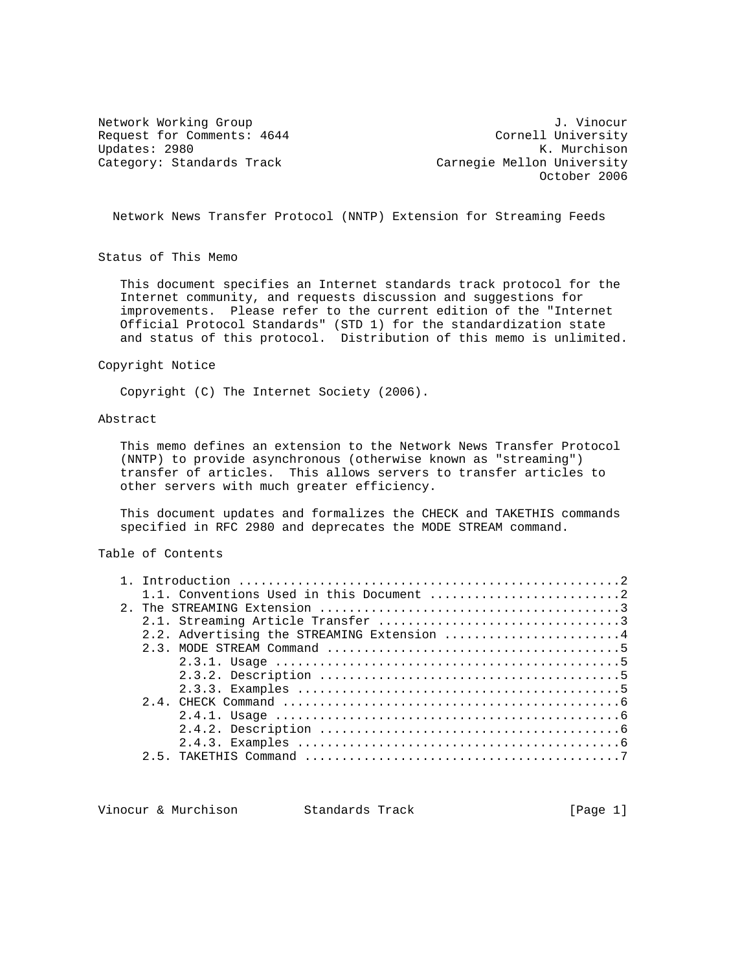Updates: 2980<br>Category: Standards Track

Network Working Group<br>Request for Comments: 4644 (Cornell University Request for Comments: 4644 Cornell University<br>Updates: 2980 K. Murchison Carnegie Mellon University October 2006

Network News Transfer Protocol (NNTP) Extension for Streaming Feeds

Status of This Memo

 This document specifies an Internet standards track protocol for the Internet community, and requests discussion and suggestions for improvements. Please refer to the current edition of the "Internet Official Protocol Standards" (STD 1) for the standardization state and status of this protocol. Distribution of this memo is unlimited.

Copyright Notice

Copyright (C) The Internet Society (2006).

# Abstract

 This memo defines an extension to the Network News Transfer Protocol (NNTP) to provide asynchronous (otherwise known as "streaming") transfer of articles. This allows servers to transfer articles to other servers with much greater efficiency.

 This document updates and formalizes the CHECK and TAKETHIS commands specified in RFC 2980 and deprecates the MODE STREAM command.

# Table of Contents

|  | 2.2. Advertising the STREAMING Extension 4 |
|--|--------------------------------------------|
|  |                                            |
|  |                                            |
|  |                                            |
|  |                                            |
|  |                                            |
|  |                                            |
|  |                                            |
|  |                                            |
|  |                                            |
|  |                                            |

Vinocur & Murchison Standards Track [Page 1]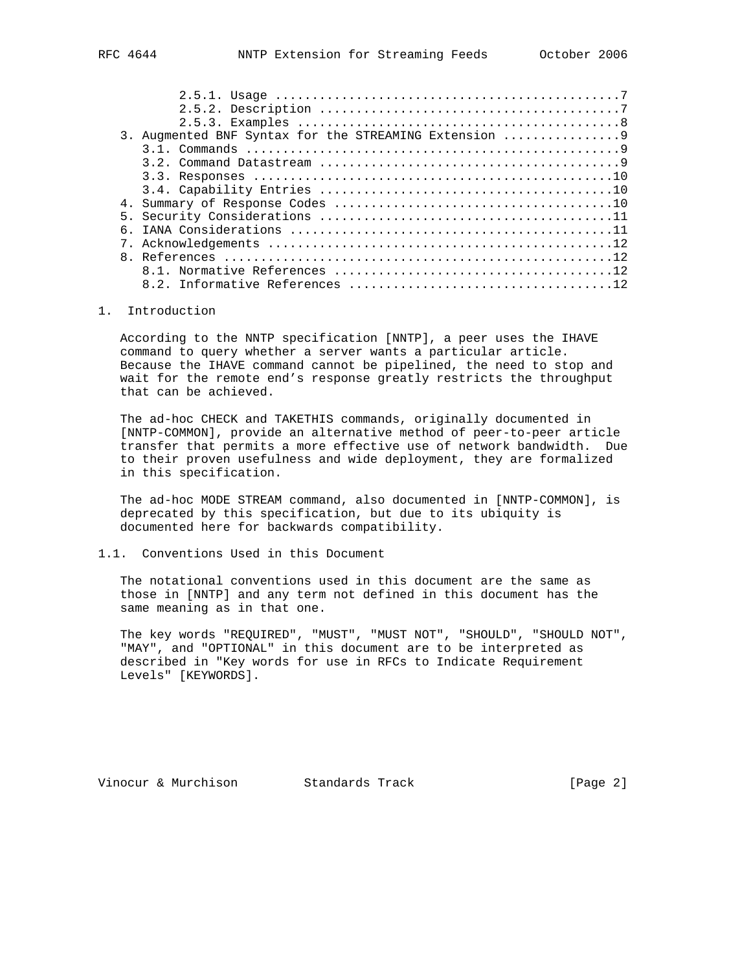| 3. Augmented BNF Syntax for the STREAMING Extension |
|-----------------------------------------------------|
|                                                     |
|                                                     |
|                                                     |
|                                                     |
|                                                     |
|                                                     |
|                                                     |
|                                                     |
|                                                     |
|                                                     |
|                                                     |
|                                                     |

### 1. Introduction

 According to the NNTP specification [NNTP], a peer uses the IHAVE command to query whether a server wants a particular article. Because the IHAVE command cannot be pipelined, the need to stop and wait for the remote end's response greatly restricts the throughput that can be achieved.

 The ad-hoc CHECK and TAKETHIS commands, originally documented in [NNTP-COMMON], provide an alternative method of peer-to-peer article transfer that permits a more effective use of network bandwidth. Due to their proven usefulness and wide deployment, they are formalized in this specification.

 The ad-hoc MODE STREAM command, also documented in [NNTP-COMMON], is deprecated by this specification, but due to its ubiquity is documented here for backwards compatibility.

# 1.1. Conventions Used in this Document

 The notational conventions used in this document are the same as those in [NNTP] and any term not defined in this document has the same meaning as in that one.

 The key words "REQUIRED", "MUST", "MUST NOT", "SHOULD", "SHOULD NOT", "MAY", and "OPTIONAL" in this document are to be interpreted as described in "Key words for use in RFCs to Indicate Requirement Levels" [KEYWORDS].

Vinocur & Murchison Standards Track [Page 2]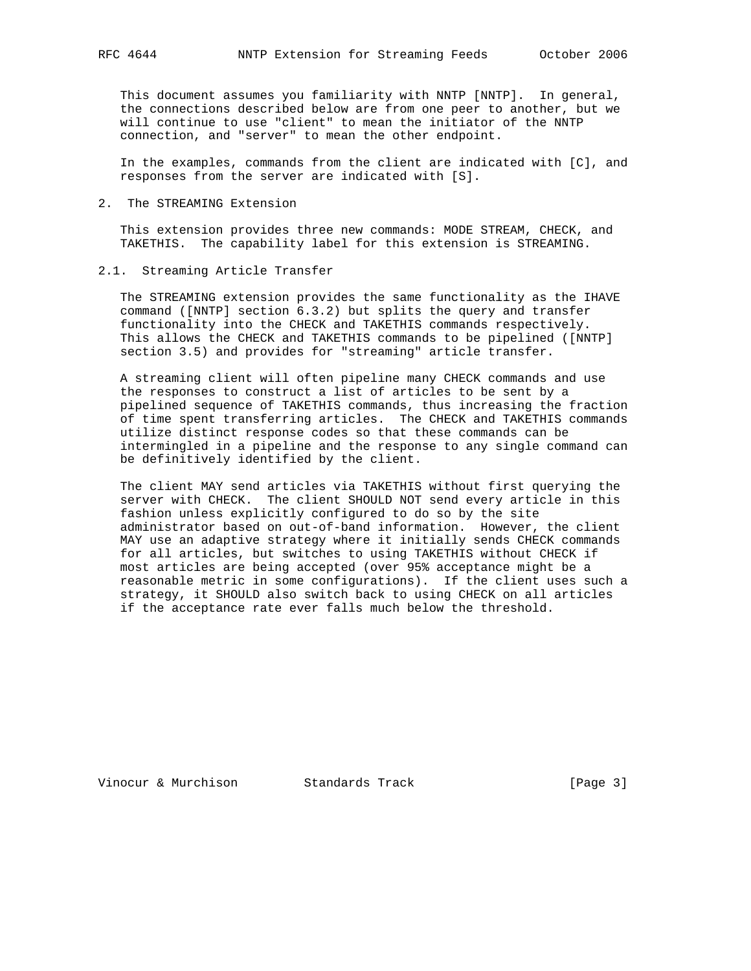This document assumes you familiarity with NNTP [NNTP]. In general, the connections described below are from one peer to another, but we will continue to use "client" to mean the initiator of the NNTP connection, and "server" to mean the other endpoint.

 In the examples, commands from the client are indicated with [C], and responses from the server are indicated with [S].

2. The STREAMING Extension

 This extension provides three new commands: MODE STREAM, CHECK, and TAKETHIS. The capability label for this extension is STREAMING.

### 2.1. Streaming Article Transfer

 The STREAMING extension provides the same functionality as the IHAVE command ([NNTP] section 6.3.2) but splits the query and transfer functionality into the CHECK and TAKETHIS commands respectively. This allows the CHECK and TAKETHIS commands to be pipelined ([NNTP] section 3.5) and provides for "streaming" article transfer.

 A streaming client will often pipeline many CHECK commands and use the responses to construct a list of articles to be sent by a pipelined sequence of TAKETHIS commands, thus increasing the fraction of time spent transferring articles. The CHECK and TAKETHIS commands utilize distinct response codes so that these commands can be intermingled in a pipeline and the response to any single command can be definitively identified by the client.

 The client MAY send articles via TAKETHIS without first querying the server with CHECK. The client SHOULD NOT send every article in this fashion unless explicitly configured to do so by the site administrator based on out-of-band information. However, the client MAY use an adaptive strategy where it initially sends CHECK commands for all articles, but switches to using TAKETHIS without CHECK if most articles are being accepted (over 95% acceptance might be a reasonable metric in some configurations). If the client uses such a strategy, it SHOULD also switch back to using CHECK on all articles if the acceptance rate ever falls much below the threshold.

Vinocur & Murchison Standards Track [Page 3]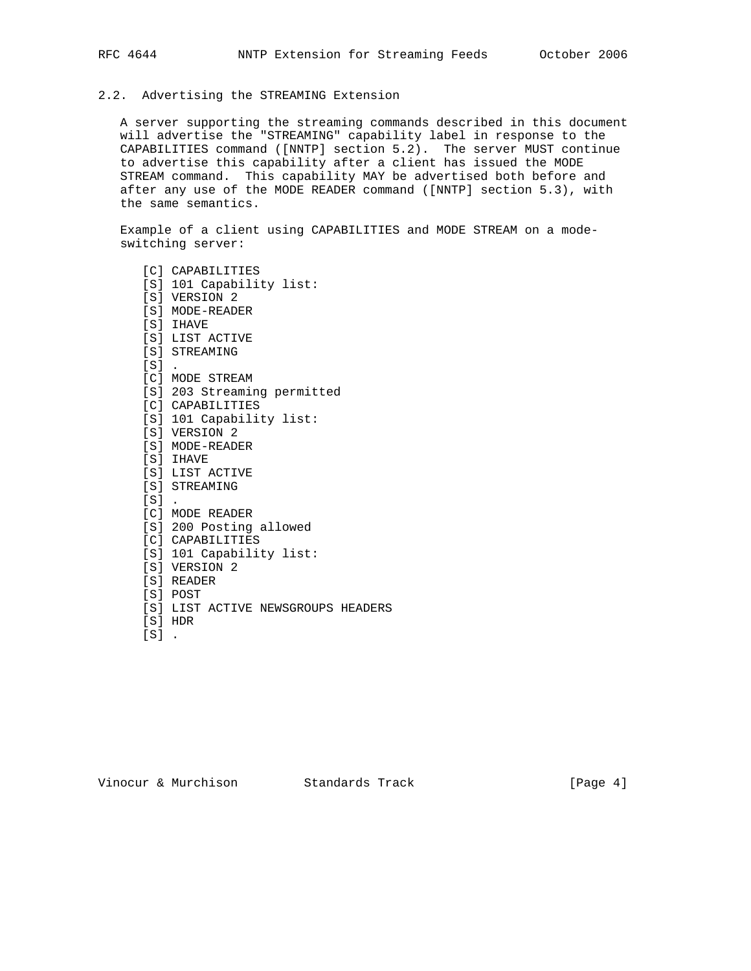## 2.2. Advertising the STREAMING Extension

 A server supporting the streaming commands described in this document will advertise the "STREAMING" capability label in response to the CAPABILITIES command ([NNTP] section 5.2). The server MUST continue to advertise this capability after a client has issued the MODE STREAM command. This capability MAY be advertised both before and after any use of the MODE READER command ([NNTP] section 5.3), with the same semantics.

 Example of a client using CAPABILITIES and MODE STREAM on a mode switching server:

 [C] CAPABILITIES [S] 101 Capability list: [S] VERSION 2 [S] MODE-READER [S] IHAVE [S] LIST ACTIVE [S] STREAMING  $[S]$ . [C] MODE STREAM [S] 203 Streaming permitted [C] CAPABILITIES [S] 101 Capability list: [S] VERSION 2 [S] MODE-READER [S] IHAVE [S] LIST ACTIVE [S] STREAMING [S] . [C] MODE READER [S] 200 Posting allowed [C] CAPABILITIES [S] 101 Capability list: [S] VERSION 2 [S] READER [S] POST [S] LIST ACTIVE NEWSGROUPS HEADERS [S] HDR [S] .

Vinocur & Murchison Standards Track (Page 4)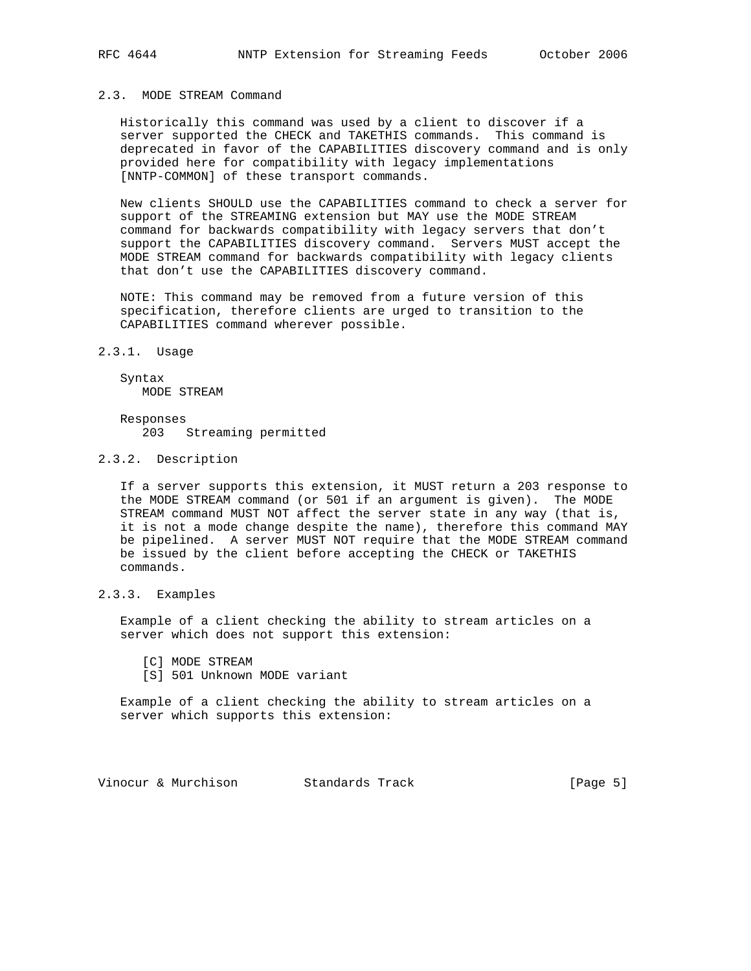### 2.3. MODE STREAM Command

 Historically this command was used by a client to discover if a server supported the CHECK and TAKETHIS commands. This command is deprecated in favor of the CAPABILITIES discovery command and is only provided here for compatibility with legacy implementations [NNTP-COMMON] of these transport commands.

 New clients SHOULD use the CAPABILITIES command to check a server for support of the STREAMING extension but MAY use the MODE STREAM command for backwards compatibility with legacy servers that don't support the CAPABILITIES discovery command. Servers MUST accept the MODE STREAM command for backwards compatibility with legacy clients that don't use the CAPABILITIES discovery command.

 NOTE: This command may be removed from a future version of this specification, therefore clients are urged to transition to the CAPABILITIES command wherever possible.

2.3.1. Usage

 Syntax MODE STREAM

 Responses 203 Streaming permitted

### 2.3.2. Description

 If a server supports this extension, it MUST return a 203 response to the MODE STREAM command (or 501 if an argument is given). The MODE STREAM command MUST NOT affect the server state in any way (that is, it is not a mode change despite the name), therefore this command MAY be pipelined. A server MUST NOT require that the MODE STREAM command be issued by the client before accepting the CHECK or TAKETHIS commands.

# 2.3.3. Examples

 Example of a client checking the ability to stream articles on a server which does not support this extension:

[C] MODE STREAM

[S] 501 Unknown MODE variant

 Example of a client checking the ability to stream articles on a server which supports this extension:

Vinocur & Murchison Standards Track [Page 5]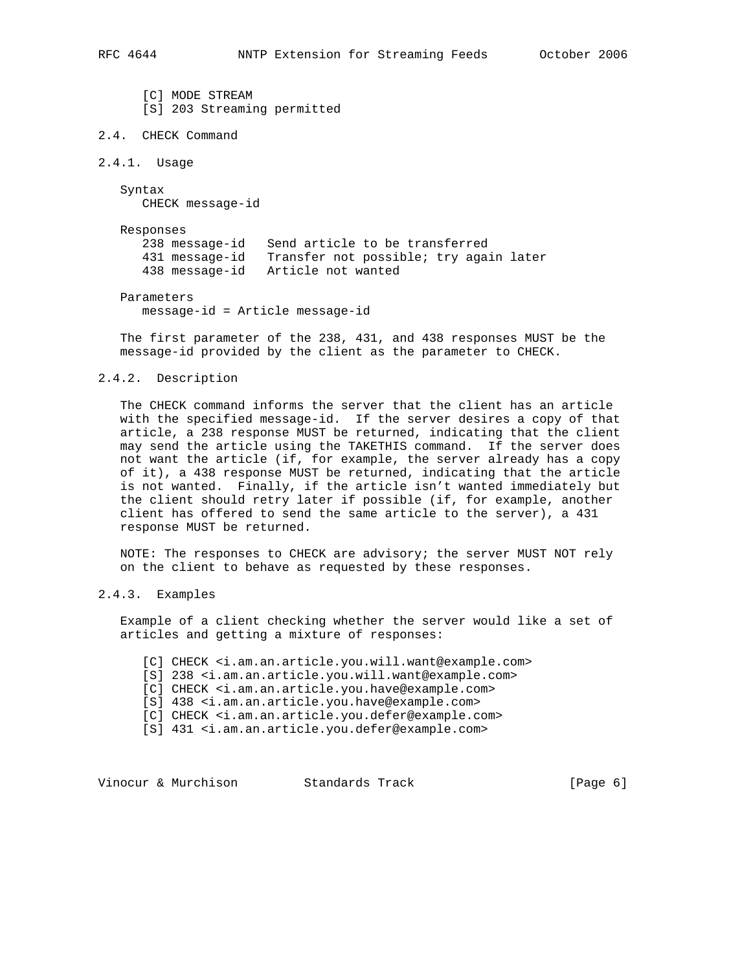[C] MODE STREAM [S] 203 Streaming permitted

## 2.4. CHECK Command

2.4.1. Usage

 Syntax CHECK message-id

Responses

 238 message-id Send article to be transferred 431 message-id Transfer not possible; try again later 438 message-id Article not wanted

Parameters

message-id = Article message-id

 The first parameter of the 238, 431, and 438 responses MUST be the message-id provided by the client as the parameter to CHECK.

### 2.4.2. Description

 The CHECK command informs the server that the client has an article with the specified message-id. If the server desires a copy of that article, a 238 response MUST be returned, indicating that the client may send the article using the TAKETHIS command. If the server does not want the article (if, for example, the server already has a copy of it), a 438 response MUST be returned, indicating that the article is not wanted. Finally, if the article isn't wanted immediately but the client should retry later if possible (if, for example, another client has offered to send the same article to the server), a 431 response MUST be returned.

 NOTE: The responses to CHECK are advisory; the server MUST NOT rely on the client to behave as requested by these responses.

# 2.4.3. Examples

 Example of a client checking whether the server would like a set of articles and getting a mixture of responses:

- [C] CHECK <i.am.an.article.you.will.want@example.com>
- [S] 238 <i.am.an.article.you.will.want@example.com>
- [C] CHECK <i.am.an.article.you.have@example.com>
- [S] 438 <i.am.an.article.you.have@example.com>
- [C] CHECK <i.am.an.article.you.defer@example.com>
- [S] 431 <i.am.an.article.you.defer@example.com>

Vinocur & Murchison Standards Track (Page 6)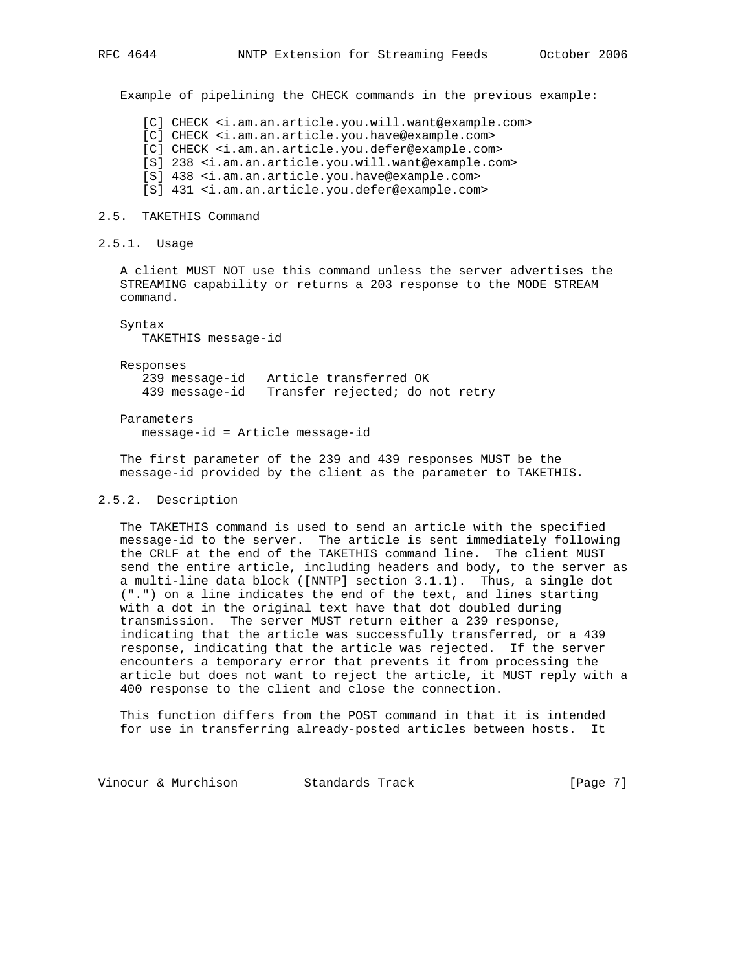Example of pipelining the CHECK commands in the previous example:

[C] CHECK <i.am.an.article.you.will.want@example.com>

[C] CHECK <i.am.an.article.you.have@example.com>

[C] CHECK <i.am.an.article.you.defer@example.com>

[S] 238 <i.am.an.article.you.will.want@example.com>

[S] 438 <i.am.an.article.you.have@example.com>

[S] 431 <i.am.an.article.you.defer@example.com>

### 2.5. TAKETHIS Command

2.5.1. Usage

 A client MUST NOT use this command unless the server advertises the STREAMING capability or returns a 203 response to the MODE STREAM command.

 Syntax TAKETHIS message-id

 Responses 239 message-id Article transferred OK 439 message-id Transfer rejected; do not retry

Parameters

message-id = Article message-id

 The first parameter of the 239 and 439 responses MUST be the message-id provided by the client as the parameter to TAKETHIS.

### 2.5.2. Description

 The TAKETHIS command is used to send an article with the specified message-id to the server. The article is sent immediately following the CRLF at the end of the TAKETHIS command line. The client MUST send the entire article, including headers and body, to the server as a multi-line data block ([NNTP] section 3.1.1). Thus, a single dot (".") on a line indicates the end of the text, and lines starting with a dot in the original text have that dot doubled during transmission. The server MUST return either a 239 response, indicating that the article was successfully transferred, or a 439 response, indicating that the article was rejected. If the server encounters a temporary error that prevents it from processing the article but does not want to reject the article, it MUST reply with a 400 response to the client and close the connection.

 This function differs from the POST command in that it is intended for use in transferring already-posted articles between hosts. It

Vinocur & Murchison Standards Track [Page 7]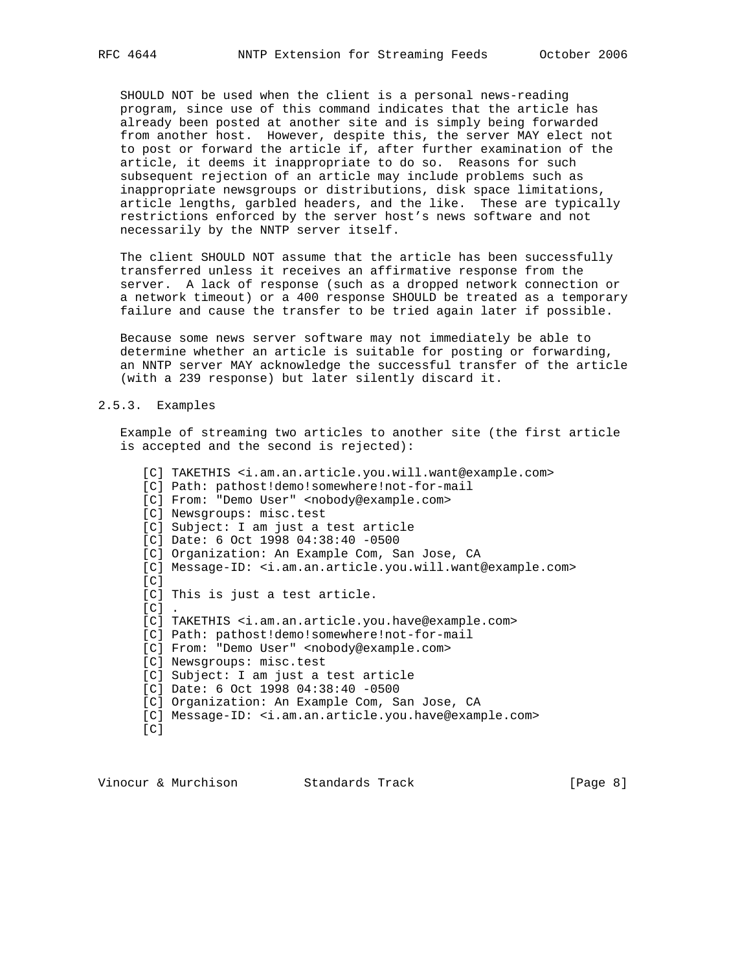SHOULD NOT be used when the client is a personal news-reading program, since use of this command indicates that the article has already been posted at another site and is simply being forwarded from another host. However, despite this, the server MAY elect not to post or forward the article if, after further examination of the article, it deems it inappropriate to do so. Reasons for such subsequent rejection of an article may include problems such as inappropriate newsgroups or distributions, disk space limitations, article lengths, garbled headers, and the like. These are typically restrictions enforced by the server host's news software and not necessarily by the NNTP server itself.

 The client SHOULD NOT assume that the article has been successfully transferred unless it receives an affirmative response from the server. A lack of response (such as a dropped network connection or a network timeout) or a 400 response SHOULD be treated as a temporary failure and cause the transfer to be tried again later if possible.

 Because some news server software may not immediately be able to determine whether an article is suitable for posting or forwarding, an NNTP server MAY acknowledge the successful transfer of the article (with a 239 response) but later silently discard it.

#### 2.5.3. Examples

 Example of streaming two articles to another site (the first article is accepted and the second is rejected):

[C] TAKETHIS <i.am.an.article.you.will.want@example.com> [C] Path: pathost!demo!somewhere!not-for-mail [C] From: "Demo User" <nobody@example.com> [C] Newsgroups: misc.test [C] Subject: I am just a test article [C] Date: 6 Oct 1998 04:38:40 -0500 [C] Organization: An Example Com, San Jose, CA [C] Message-ID: <i.am.an.article.you.will.want@example.com>  $[C]$  [C] This is just a test article.  $[C]$ . [C] TAKETHIS <i.am.an.article.you.have@example.com> [C] Path: pathost!demo!somewhere!not-for-mail [C] From: "Demo User" <nobody@example.com> [C] Newsgroups: misc.test [C] Subject: I am just a test article [C] Date: 6 Oct 1998 04:38:40 -0500 [C] Organization: An Example Com, San Jose, CA [C] Message-ID: <i.am.an.article.you.have@example.com>  $[C]$ 

Vinocur & Murchison Standards Track (Page 8)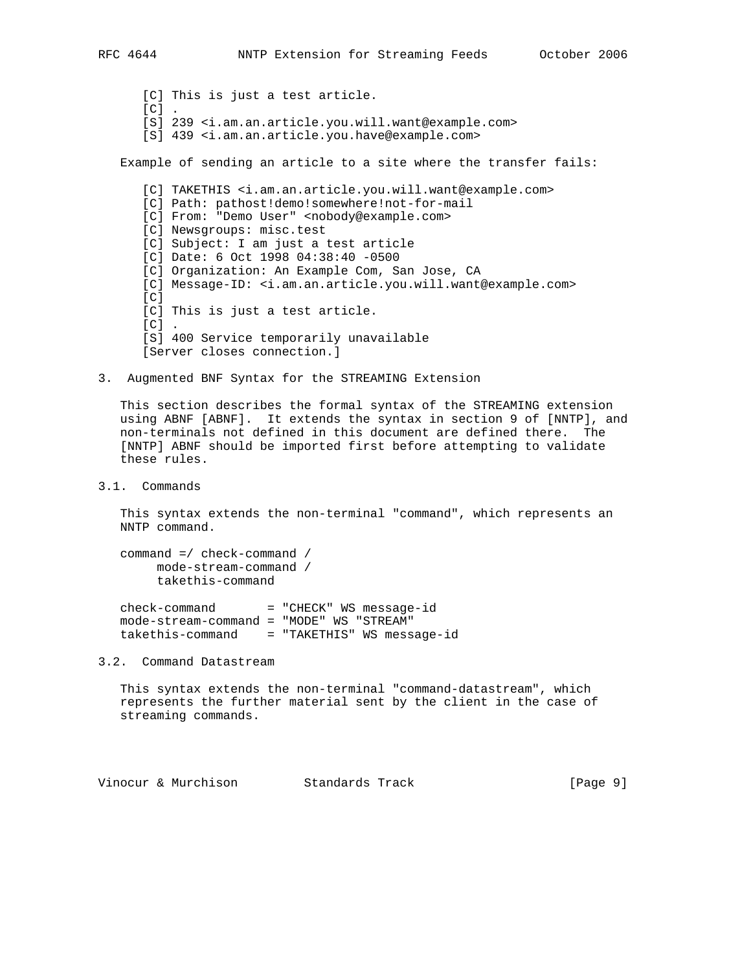[C] This is just a test article.  $[C]$  . [S] 239 <i.am.an.article.you.will.want@example.com> [S] 439 <i.am.an.article.you.have@example.com> Example of sending an article to a site where the transfer fails: [C] TAKETHIS <i.am.an.article.you.will.want@example.com> [C] Path: pathost!demo!somewhere!not-for-mail [C] From: "Demo User" <nobody@example.com> [C] Newsgroups: misc.test [C] Subject: I am just a test article [C] Date: 6 Oct 1998 04:38:40 -0500 [C] Organization: An Example Com, San Jose, CA [C] Message-ID: <i.am.an.article.you.will.want@example.com>  $[<sub>C</sub>]$  [C] This is just a test article.  $[C]$ . [S] 400 Service temporarily unavailable [Server closes connection.]

3. Augmented BNF Syntax for the STREAMING Extension

 This section describes the formal syntax of the STREAMING extension using ABNF [ABNF]. It extends the syntax in section 9 of [NNTP], and non-terminals not defined in this document are defined there. The [NNTP] ABNF should be imported first before attempting to validate these rules.

3.1. Commands

 This syntax extends the non-terminal "command", which represents an NNTP command.

```
 command =/ check-command /
mode-stream-command /
takethis-command
```
 $check-command = "CHECK" WS message-id$  mode-stream-command = "MODE" WS "STREAM" takethis-command = "TAKETHIS" WS message-id

3.2. Command Datastream

 This syntax extends the non-terminal "command-datastream", which represents the further material sent by the client in the case of streaming commands.

Vinocur & Murchison Standards Track [Page 9]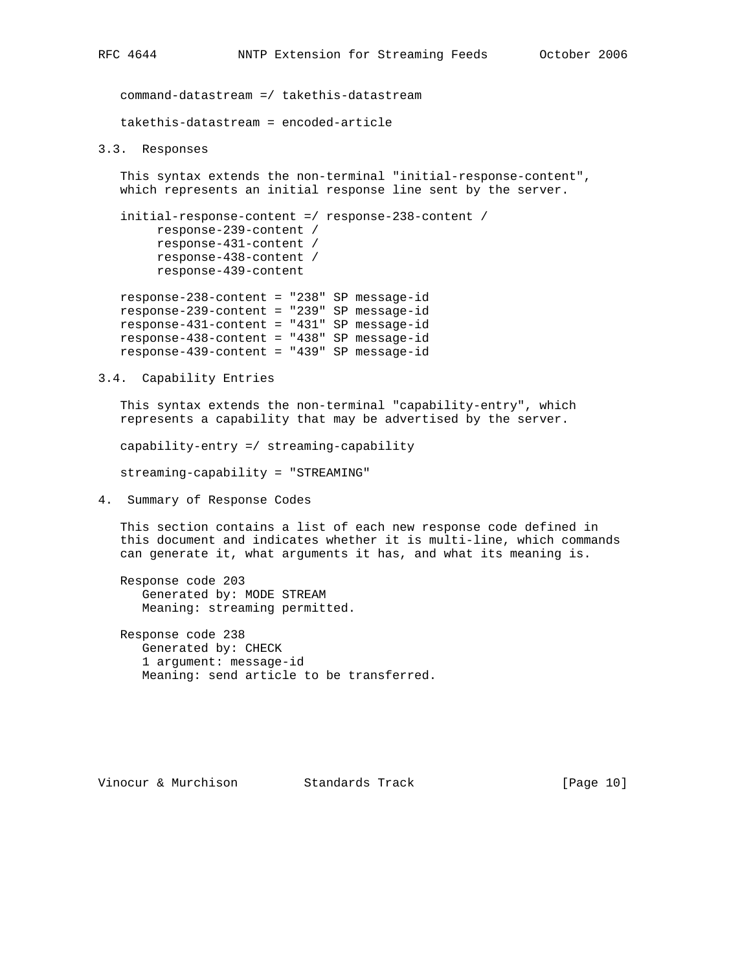command-datastream =/ takethis-datastream takethis-datastream = encoded-article

#### 3.3. Responses

 This syntax extends the non-terminal "initial-response-content", which represents an initial response line sent by the server.

 initial-response-content =/ response-238-content / response-239-content / response-431-content / response-438-content / response-439-content

 response-238-content = "238" SP message-id response-239-content = "239" SP message-id response-431-content = "431" SP message-id response-438-content = "438" SP message-id response-439-content = "439" SP message-id

3.4. Capability Entries

 This syntax extends the non-terminal "capability-entry", which represents a capability that may be advertised by the server.

capability-entry =/ streaming-capability

streaming-capability = "STREAMING"

4. Summary of Response Codes

 This section contains a list of each new response code defined in this document and indicates whether it is multi-line, which commands can generate it, what arguments it has, and what its meaning is.

 Response code 203 Generated by: MODE STREAM Meaning: streaming permitted.

 Response code 238 Generated by: CHECK 1 argument: message-id Meaning: send article to be transferred.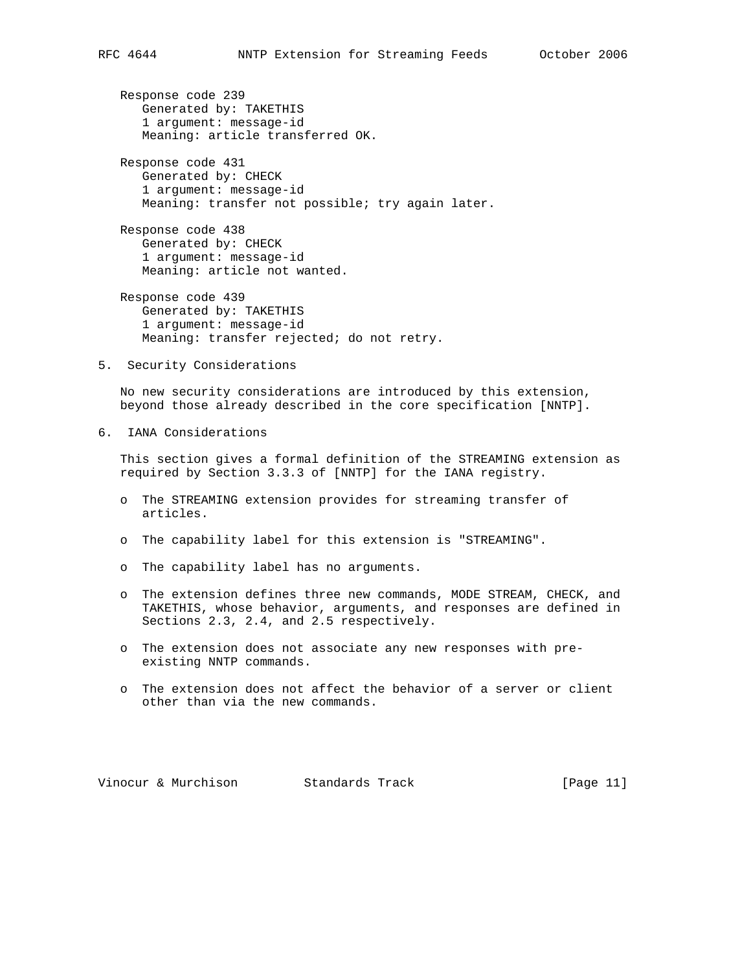Response code 239 Generated by: TAKETHIS 1 argument: message-id Meaning: article transferred OK.

 Response code 431 Generated by: CHECK 1 argument: message-id Meaning: transfer not possible; try again later.

 Response code 438 Generated by: CHECK 1 argument: message-id Meaning: article not wanted.

 Response code 439 Generated by: TAKETHIS 1 argument: message-id Meaning: transfer rejected; do not retry.

5. Security Considerations

 No new security considerations are introduced by this extension, beyond those already described in the core specification [NNTP].

6. IANA Considerations

 This section gives a formal definition of the STREAMING extension as required by Section 3.3.3 of [NNTP] for the IANA registry.

- o The STREAMING extension provides for streaming transfer of articles.
- o The capability label for this extension is "STREAMING".
- o The capability label has no arguments.
- o The extension defines three new commands, MODE STREAM, CHECK, and TAKETHIS, whose behavior, arguments, and responses are defined in Sections 2.3, 2.4, and 2.5 respectively.
- o The extension does not associate any new responses with pre existing NNTP commands.
- o The extension does not affect the behavior of a server or client other than via the new commands.

Vinocur & Murchison Standards Track [Page 11]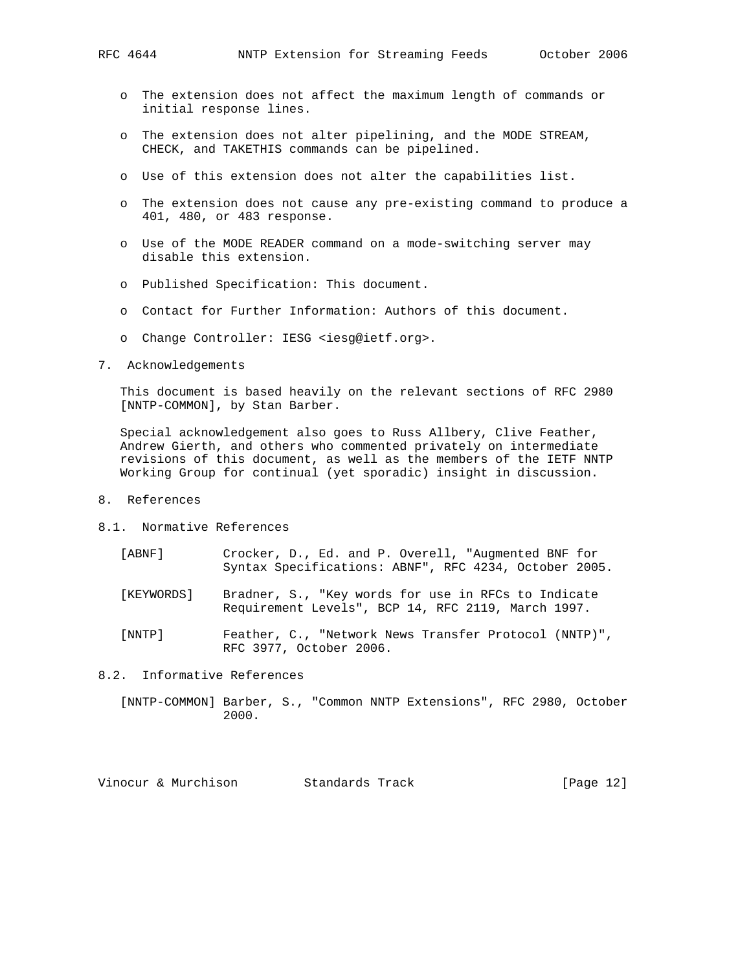- o The extension does not affect the maximum length of commands or initial response lines.
- o The extension does not alter pipelining, and the MODE STREAM, CHECK, and TAKETHIS commands can be pipelined.
- o Use of this extension does not alter the capabilities list.
- o The extension does not cause any pre-existing command to produce a 401, 480, or 483 response.
- o Use of the MODE READER command on a mode-switching server may disable this extension.
- o Published Specification: This document.
- o Contact for Further Information: Authors of this document.
- o Change Controller: IESG <iesg@ietf.org>.
- 7. Acknowledgements

 This document is based heavily on the relevant sections of RFC 2980 [NNTP-COMMON], by Stan Barber.

 Special acknowledgement also goes to Russ Allbery, Clive Feather, Andrew Gierth, and others who commented privately on intermediate revisions of this document, as well as the members of the IETF NNTP Working Group for continual (yet sporadic) insight in discussion.

- 8. References
- 8.1. Normative References
	- [ABNF] Crocker, D., Ed. and P. Overell, "Augmented BNF for Syntax Specifications: ABNF", RFC 4234, October 2005.
	- [KEYWORDS] Bradner, S., "Key words for use in RFCs to Indicate Requirement Levels", BCP 14, RFC 2119, March 1997.
	- [NNTP] Feather, C., "Network News Transfer Protocol (NNTP)", RFC 3977, October 2006.
- 8.2. Informative References
	- [NNTP-COMMON] Barber, S., "Common NNTP Extensions", RFC 2980, October 2000.

Vinocur & Murchison Standards Track [Page 12]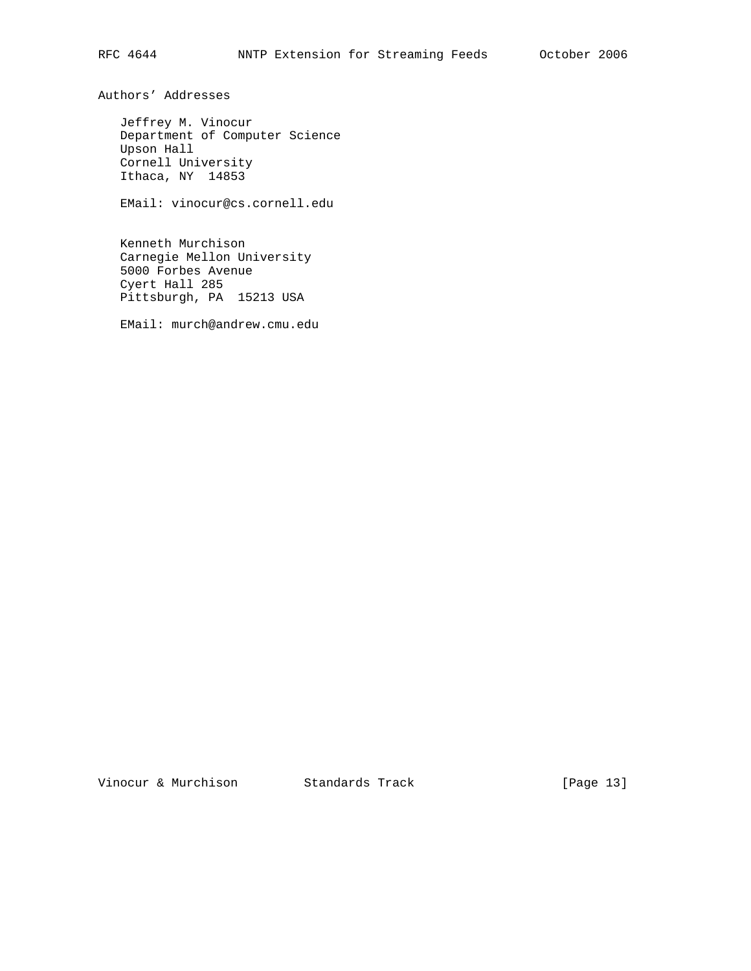Authors' Addresses

 Jeffrey M. Vinocur Department of Computer Science Upson Hall Cornell University Ithaca, NY 14853

EMail: vinocur@cs.cornell.edu

 Kenneth Murchison Carnegie Mellon University 5000 Forbes Avenue Cyert Hall 285 Pittsburgh, PA 15213 USA

EMail: murch@andrew.cmu.edu

Vinocur & Murchison Standards Track [Page 13]